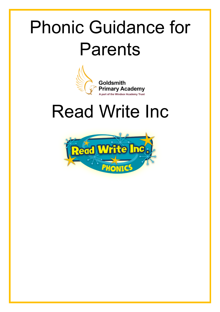# Phonic Guidance for Parents



# Read Write Inc

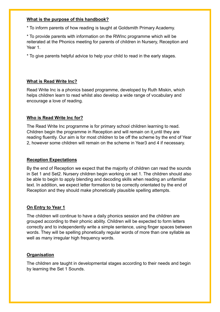#### **What is the purpose of this handbook?**

\* To inform parents of how reading is taught at Goldsmith Primary Academy.

\* To provide parents with information on the RWInc programme which will be reiterated at the Phonics meeting for parents of children in Nursery, Reception and Year 1.

\* To give parents helpful advice to help your child to read in the early stages.

# **What is Read Write Inc?**

Read Write Inc is a phonics based programme, developed by Ruth Miskin, which helps children learn to read whilst also develop a wide range of vocabulary and encourage a love of reading.

## **Who is Read Write Inc for?**

The Read Write Inc programme is for primary school children learning to read. Children begin the programme in Reception and will remain on it until they are reading fluently. Our aim is for most children to be off the scheme by the end of Year 2, however some children will remain on the scheme in Year3 and 4 if necessary.

## **Reception Expectations**

By the end of Reception we expect that the majority of children can read the sounds in Set 1 and Set2. Nursery children begin working on set 1. The children should also be able to begin to apply blending and decoding skills when reading an unfamiliar text. In addition, we expect letter formation to be correctly orientated by the end of Reception and they should make phonetically plausible spelling attempts.

#### **On Entry to Year 1**

The children will continue to have a daily phonics session and the children are grouped according to their phonic ability. Children will be expected to form letters correctly and to independently write a simple sentence, using finger spaces between words. They will be spelling phonetically regular words of more than one syllable as well as many irregular high frequency words.

## **Organisation**

The children are taught in developmental stages according to their needs and begin by learning the Set 1 Sounds.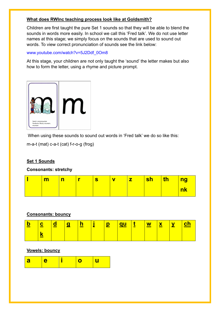## **What does RWInc teaching process look like at Goldsmith?**

Children are first taught the pure Set 1 sounds so that they will be able to blend the sounds in words more easily. In school we call this 'Fred talk'. We do not use letter names at this stage; we simply focus on the sounds that are used to sound out words. To view correct pronunciation of sounds see the link below:

www.youtube.com/watch?v=5J2Ddf\_0Om8

At this stage, your children are not only taught the 'sound' the letter makes but also how to form the letter, using a rhyme and picture prompt.



When using these sounds to sound out words in 'Fred talk' we do so like this:

m-a-t (mat) c-a-t (cat) f-r-o-g (frog)

## **Set 1 Sounds**

**Consonants: stretchy**

| m | <u>  n</u> |  | $\mathbf v$ | $ \sh $ | $\ $ th $\ $ | <b>ng</b> |
|---|------------|--|-------------|---------|--------------|-----------|
|   |            |  |             |         |              | <b>nk</b> |

## **Consonants: bouncy**

| $\overline{\mathbf{b}}$ | $\overline{\texttt{c}}$ $\overline{\texttt{d}}$ . | <b>Vg</b> | <u>ч Г.</u> | <u> 12 </u> |  |  | <u>ch</u> |
|-------------------------|---------------------------------------------------|-----------|-------------|-------------|--|--|-----------|
|                         | ≃                                                 |           |             |             |  |  |           |

#### **Vowels: bouncy**

| <b>l</b> a |  |  |  |  |
|------------|--|--|--|--|
|------------|--|--|--|--|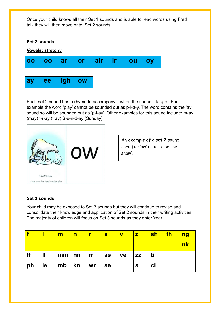Once your child knows all their Set 1 sounds and is able to read words using Fred talk they will then move onto 'Set 2 sounds'.



Each set 2 sound has a rhyme to accompany it when the sound it taught. For example the word 'play' cannot be sounded out as p-l-a-y. The word contains the 'ay' sound so will be sounded out as 'p-l-ay'. Other examples for this sound include: m-ay (may) t-r-ay (tray) S-u-n-d-ay (Sunday).



An example of a set 2 sound card for 'ow' as in 'blow the snow'.

## **Set 3 sounds**

Your child may be exposed to Set 3 sounds but they will continue to revise and consolidate their knowledge and application of Set 2 sounds in their writing activities. The majority of children will focus on Set 3 sounds as they enter Year 1.

|    |                       | $\overline{\mathbf{m}}$ |                              | $\mathbf{s}$ | $\overline{\mathbf{V}}$ | $\mathbf{Z}$ | <u>sh</u> | th | <u>ng</u><br><b>nk</b> |
|----|-----------------------|-------------------------|------------------------------|--------------|-------------------------|--------------|-----------|----|------------------------|
| ff | $\mathbf{\mathbf{H}}$ |                         | $mm \mid nn \mid rr \mid ss$ |              | $\mathsf{v}\mathsf{e}$  | <b>ZZ</b>    | <b>ti</b> |    |                        |
| ph | $ $ le                | $\vert$ mb $\vert$ kn   | $\overline{\mathsf{w}}$ r    | $ $ se       |                         | <b>S</b>     | ci        |    |                        |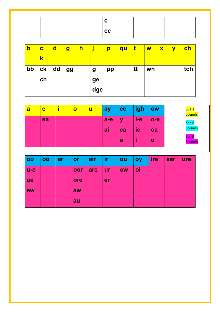|  |  | ce |  |  |  |
|--|--|----|--|--|--|

| b  | $\mathbf c$   | $\mathbf d$ | $\boldsymbol{g}$ | $\overline{\mathsf{h}}$ |                  | p  | qu | t  | $\overline{\mathsf{W}}$ | $\boldsymbol{\mathsf{x}}$ | $\mathbf y$ | <u>ch</u> |
|----|---------------|-------------|------------------|-------------------------|------------------|----|----|----|-------------------------|---------------------------|-------------|-----------|
|    | k             |             |                  |                         |                  |    |    |    |                         |                           |             |           |
| bb | $c\mathbf{k}$ | dd          | <b>gg</b>        |                         | $\boldsymbol{g}$ | pp |    | tt | wh                      |                           |             | tch       |
|    | ch            |             |                  |                         | ge               |    |    |    |                         |                           |             |           |
|    |               |             |                  |                         | dge              |    |    |    |                         |                           |             |           |

| a | e  | $\mathbf o$ | ็น | ay    | ee          | igh | <b>OW</b> | SET <sub>1</sub><br><b>Sounds</b> |
|---|----|-------------|----|-------|-------------|-----|-----------|-----------------------------------|
|   | ea |             |    | $a-e$ | $\mathbf y$ | i-e | $o-e$     | Set 2                             |
|   |    |             |    | ai    | ea          | ie  | oa        | <b>Sounds</b>                     |
|   |    |             |    |       | e           |     | O         | Set 3<br><b>Sounds</b>            |

| 00    | 00 | <b>ar</b> | or  | air | ir        | ou        | <b>oy</b> | ire | ear | ure |
|-------|----|-----------|-----|-----|-----------|-----------|-----------|-----|-----|-----|
| $u-e$ |    |           | oor | are | <b>ur</b> | <b>OW</b> | oi        |     |     |     |
| ue    |    |           | ore |     | er        |           |           |     |     |     |
| ew    |    |           | aw  |     |           |           |           |     |     |     |
|       |    |           | au  |     |           |           |           |     |     |     |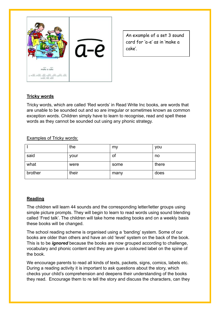

An example of a set 3 sound card for 'a-e' as in 'make a cake'.

## **Tricky words**

Tricky words, which are called 'Red words' in Read Write Inc books, are words that are unable to be sounded out and so are irregular or sometimes known as common exception words. Children simply have to learn to recognise, read and spell these words as they cannot be sounded out using any phonic strategy.

Examples of Tricky words:

|         | the   | my   | you   |
|---------|-------|------|-------|
| said    | your  | Οt   | no    |
| what    | were  | some | there |
| brother | their | many | does  |

## **Reading**

The children will learn 44 sounds and the corresponding letter/letter groups using simple picture prompts. They will begin to learn to read words using sound blending called 'Fred talk'. The children will take home reading books and on a weekly basis these books will be changed.

The school reading scheme is organised using a 'banding' system. Some of our books are older than others and have an old 'level' system on the back of the book. This is to be *ignored* because the books are now grouped according to challenge, vocabulary and phonic content and they are given a coloured label on the spine of the book.

We encourage parents to read all kinds of texts, packets, signs, comics, labels etc. During a reading activity it is important to ask questions about the story, which checks your child's comprehension and deepens their understanding of the books they read. Encourage them to re tell the story and discuss the characters, can they